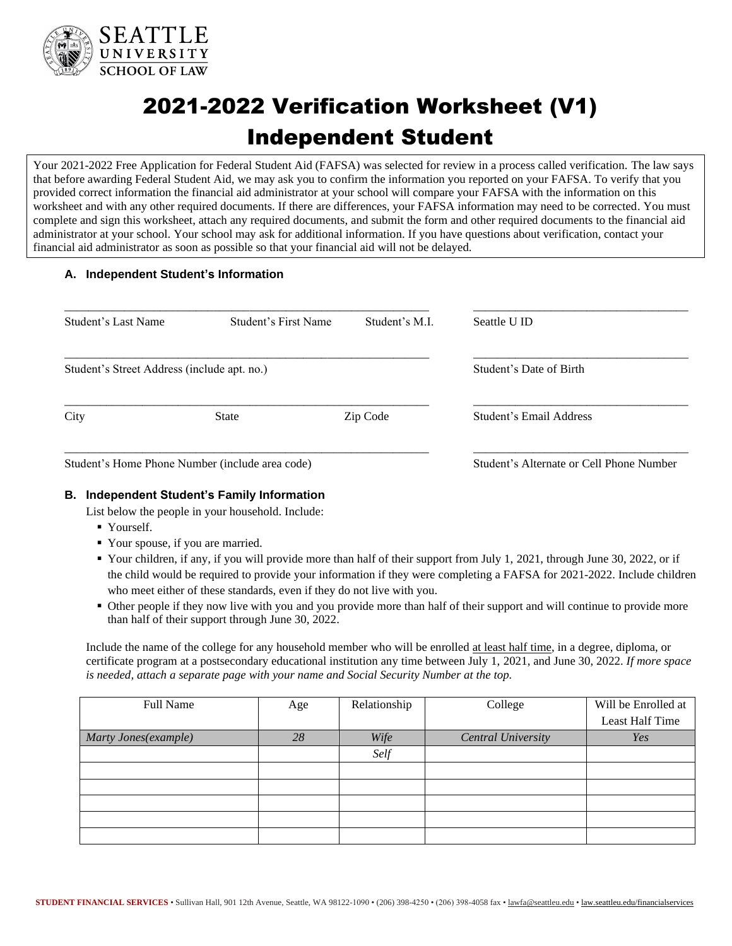

# 2021-2022 Verification Worksheet (V1) Independent Student

Your 2021-2022 Free Application for Federal Student Aid (FAFSA) was selected for review in a process called verification. The law says that before awarding Federal Student Aid, we may ask you to confirm the information you reported on your FAFSA. To verify that you provided correct information the financial aid administrator at your school will compare your FAFSA with the information on this worksheet and with any other required documents. If there are differences, your FAFSA information may need to be corrected. You must complete and sign this worksheet, attach any required documents, and submit the form and other required documents to the financial aid administrator at your school. Your school may ask for additional information. If you have questions about verification, contact your financial aid administrator as soon as possible so that your financial aid will not be delayed.

# **A. Independent Student's Information**

| Student's Last Name                             | Student's First Name | Student's M.L.          | Seattle U ID                             |
|-------------------------------------------------|----------------------|-------------------------|------------------------------------------|
| Student's Street Address (include apt. no.)     |                      | Student's Date of Birth |                                          |
| City                                            | State                | Zip Code                | Student's Email Address                  |
| Student's Home Phone Number (include area code) |                      |                         | Student's Alternate or Cell Phone Number |

# **B. Independent Student's Family Information**

List below the people in your household. Include:

- Yourself.
- Your spouse, if you are married.
- Your children, if any, if you will provide more than half of their support from July 1, 2021, through June 30, 2022, or if the child would be required to provide your information if they were completing a FAFSA for 2021-2022. Include children who meet either of these standards, even if they do not live with you.
- Other people if they now live with you and you provide more than half of their support and will continue to provide more than half of their support through June 30, 2022.

Include the name of the college for any household member who will be enrolled at least half time, in a degree, diploma, or certificate program at a postsecondary educational institution any time between July 1, 2021, and June 30, 2022. *If more space is needed, attach a separate page with your name and Social Security Number at the top.*

| Full Name            | Age | Relationship | College                   | Will be Enrolled at |
|----------------------|-----|--------------|---------------------------|---------------------|
|                      |     |              |                           | Least Half Time     |
| Marty Jones(example) | 28  | Wife         | <b>Central University</b> | Yes                 |
|                      |     | Self         |                           |                     |
|                      |     |              |                           |                     |
|                      |     |              |                           |                     |
|                      |     |              |                           |                     |
|                      |     |              |                           |                     |
|                      |     |              |                           |                     |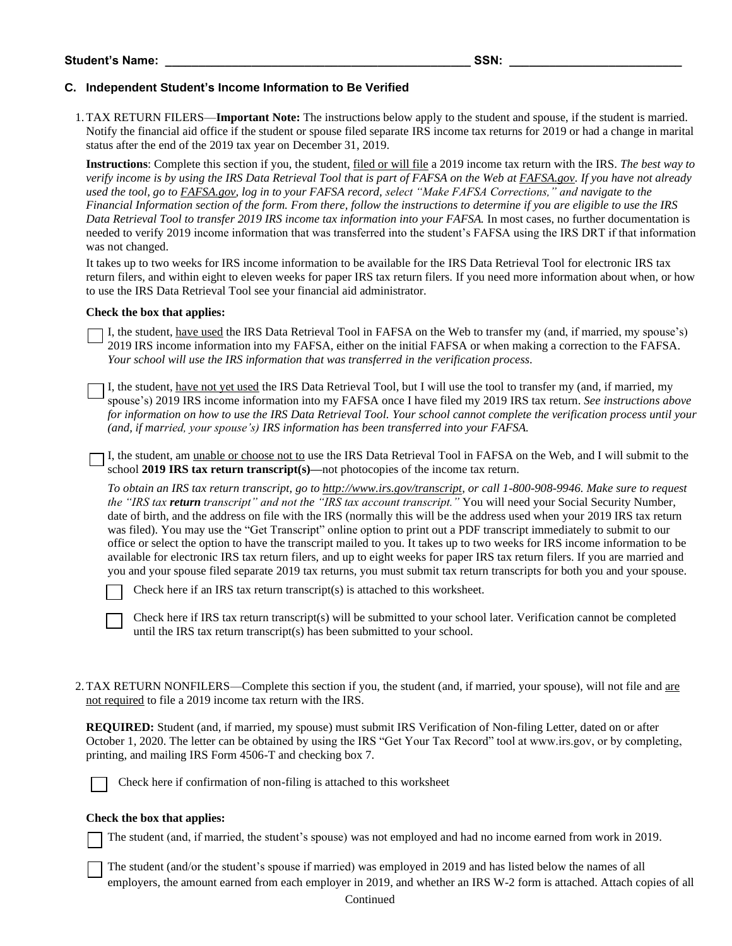### **C. Independent Student's Income Information to Be Verified**

1.TAX RETURN FILERS—**Important Note:** The instructions below apply to the student and spouse, if the student is married. Notify the financial aid office if the student or spouse filed separate IRS income tax returns for 2019 or had a change in marital status after the end of the 2019 tax year on December 31, 2019.

**Instructions**: Complete this section if you, the student, filed or will file a 2019 income tax return with the IRS. *The best way to verify income is by using the IRS Data Retrieval Tool that is part of FAFSA on the Web at FAFSA.gov. If you have not already used the tool, go to FAFSA.gov, log in to your FAFSA record, select "Make FAFSA Corrections," and navigate to the Financial Information section of the form. From there, follow the instructions to determine if you are eligible to use the IRS Data Retrieval Tool to transfer 2019 IRS income tax information into your FAFSA.* In most cases, no further documentation is needed to verify 2019 income information that was transferred into the student's FAFSA using the IRS DRT if that information was not changed.

It takes up to two weeks for IRS income information to be available for the IRS Data Retrieval Tool for electronic IRS tax return filers, and within eight to eleven weeks for paper IRS tax return filers. If you need more information about when, or how to use the IRS Data Retrieval Tool see your financial aid administrator.

#### **Check the box that applies:**

I, the student, have used the IRS Data Retrieval Tool in FAFSA on the Web to transfer my (and, if married, my spouse's) 2019 IRS income information into my FAFSA, either on the initial FAFSA or when making a correction to the FAFSA. *Your school will use the IRS information that was transferred in the verification process.* 

I, the student, have not yet used the IRS Data Retrieval Tool, but I will use the tool to transfer my (and, if married, my spouse's) 2019 IRS income information into my FAFSA once I have filed my 2019 IRS tax return. *See instructions above for information on how to use the IRS Data Retrieval Tool. Your school cannot complete the verification process until your (and, if married, your spouse's) IRS information has been transferred into your FAFSA.*

I, the student, am unable or choose not to use the IRS Data Retrieval Tool in FAFSA on the Web, and I will submit to the school **2019 IRS tax return transcript(s)—**not photocopies of the income tax return.

*To obtain an IRS tax return transcript, go to [http://www.irs.gov/transcript,](http://www.irs.gov/transcript) or call 1-800-908-9946. Make sure to request the "IRS tax return transcript" and not the "IRS tax account transcript."* You will need your Social Security Number, date of birth, and the address on file with the IRS (normally this will be the address used when your 2019 IRS tax return was filed). You may use the "Get Transcript" online option to print out a PDF transcript immediately to submit to our office or select the option to have the transcript mailed to you. It takes up to two weeks for IRS income information to be available for electronic IRS tax return filers, and up to eight weeks for paper IRS tax return filers. If you are married and you and your spouse filed separate 2019 tax returns, you must submit tax return transcripts for both you and your spouse.

Check here if an IRS tax return transcript(s) is attached to this worksheet.

Check here if IRS tax return transcript(s) will be submitted to your school later. Verification cannot be completed until the IRS tax return transcript(s) has been submitted to your school.

2.TAX RETURN NONFILERS—Complete this section if you, the student (and, if married, your spouse), will not file and are not required to file a 2019 income tax return with the IRS.

**REQUIRED:** Student (and, if married, my spouse) must submit IRS Verification of Non-filing Letter, dated on or after October 1, 2020. The letter can be obtained by using the IRS "Get Your Tax Record" tool at www.irs.gov, or by completing, printing, and mailing IRS Form 4506-T and checking box 7.



Check here if confirmation of non-filing is attached to this worksheet

#### **Check the box that applies:**

The student (and, if married, the student's spouse) was not employed and had no income earned from work in 2019.

The student (and/or the student's spouse if married) was employed in 2019 and has listed below the names of all employers, the amount earned from each employer in 2019, and whether an IRS W-2 form is attached. Attach copies of all